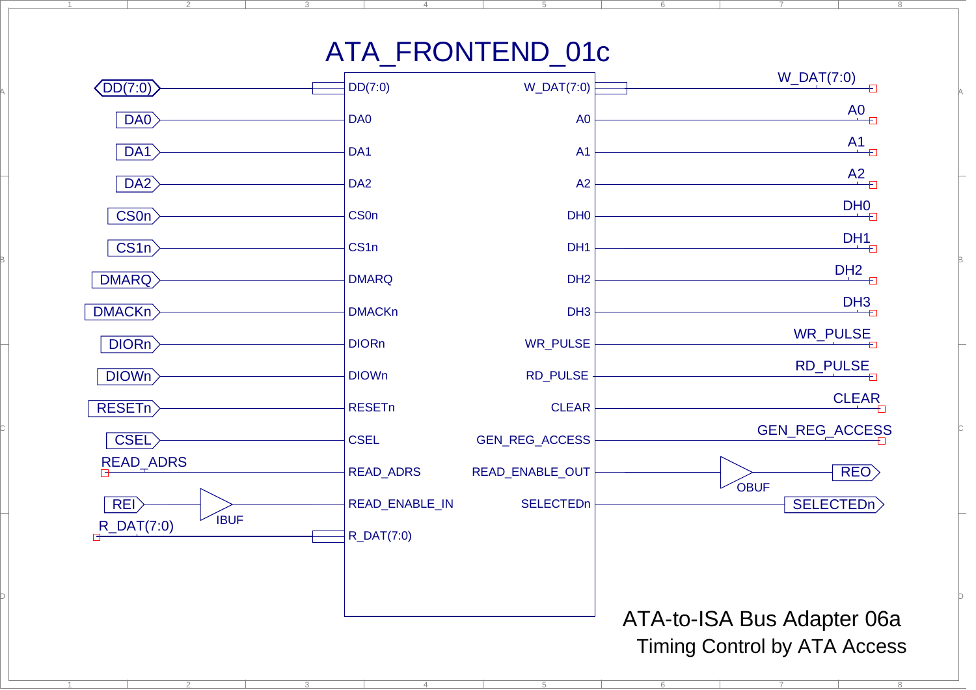## ATA\_FRONTEND\_01c

5

6

7

8

6

7

8

4

1

A

B

C

D

2

2

3

4

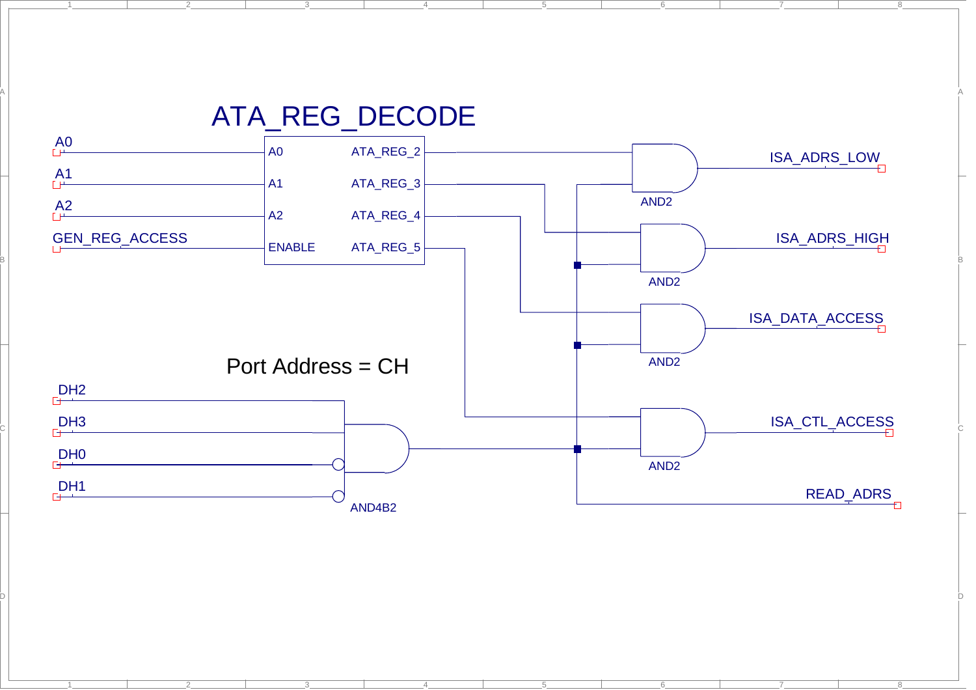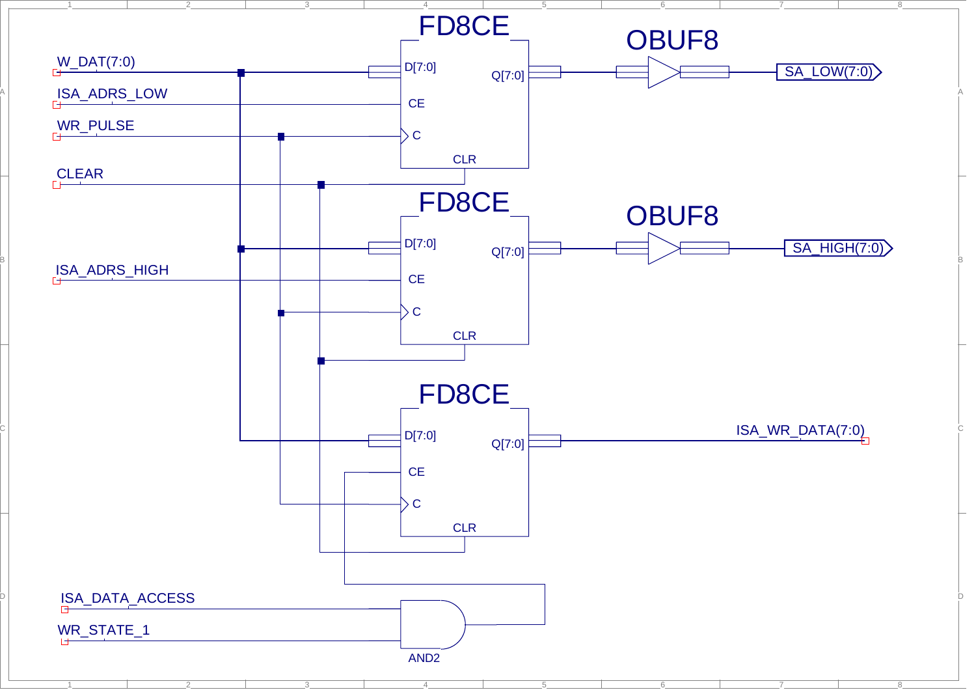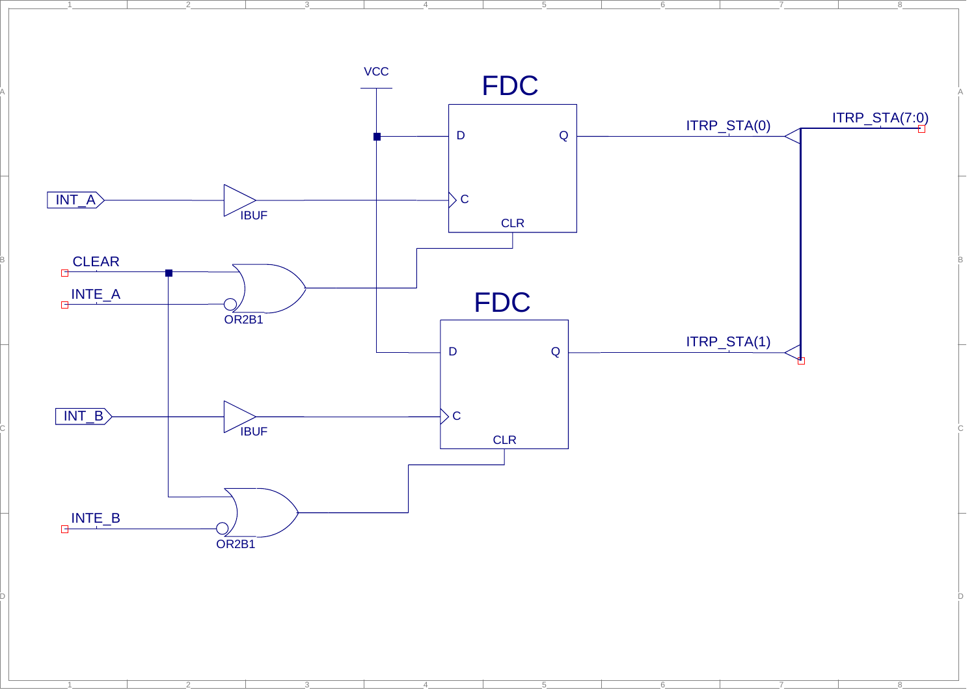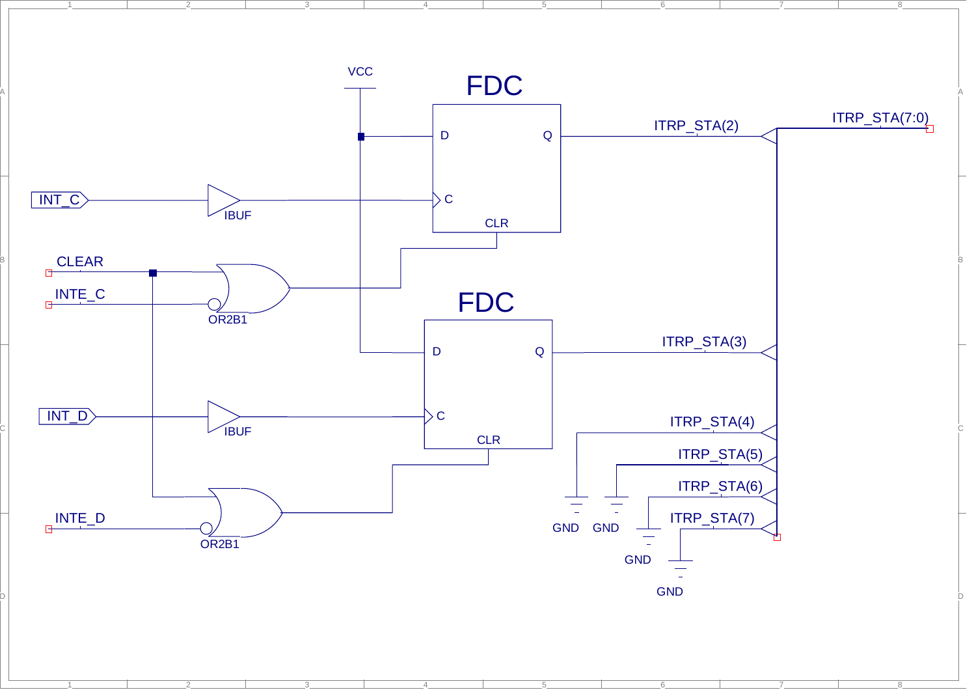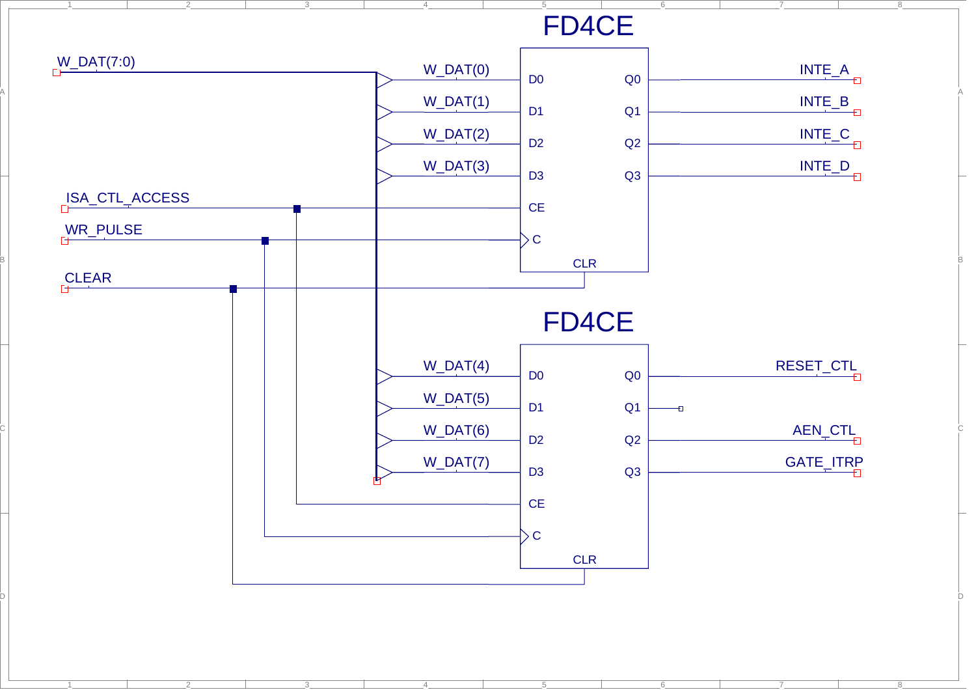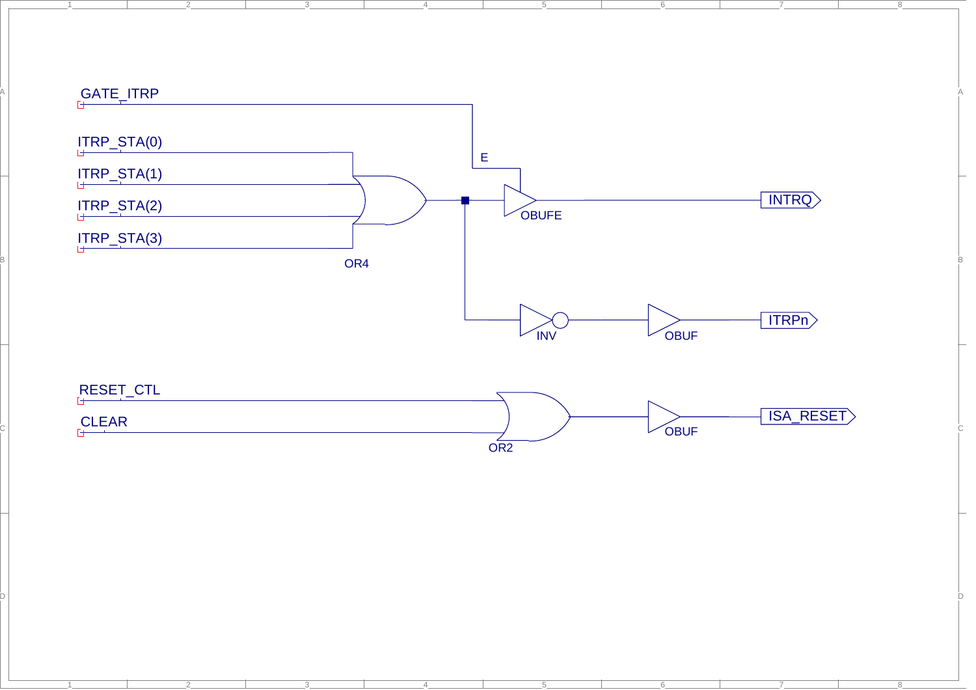

4

5

6

7

4

5

6

7

8

1

A

2

 $-1$ 

D

2

3

8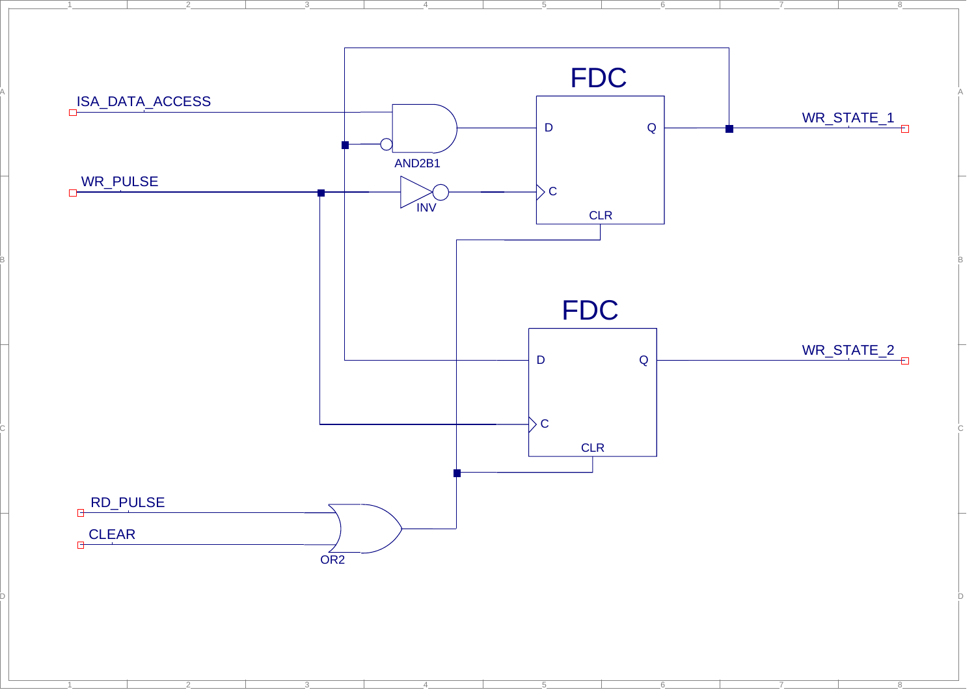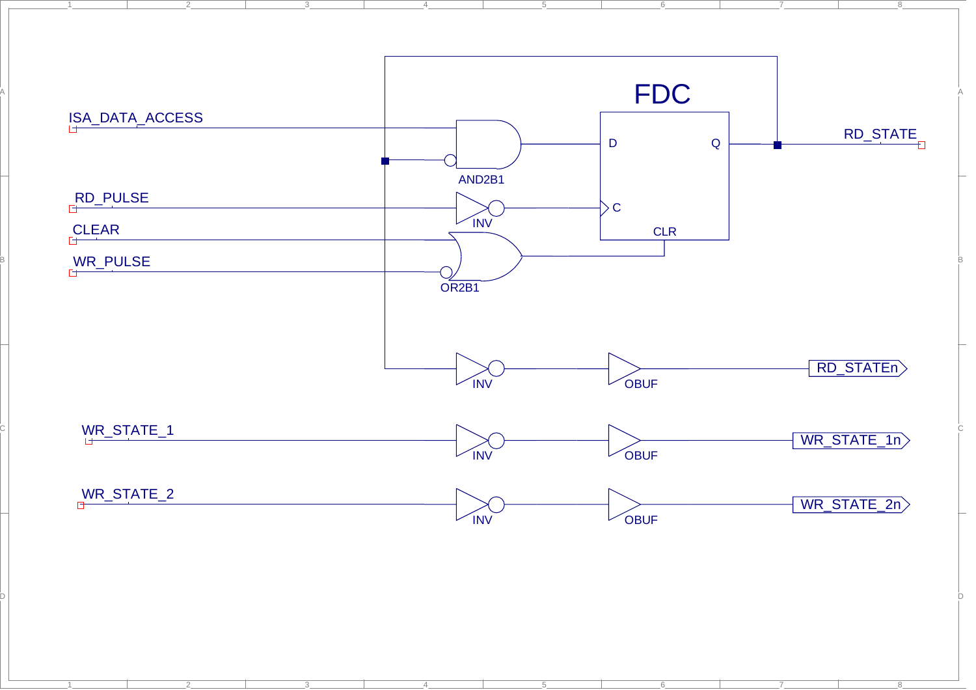